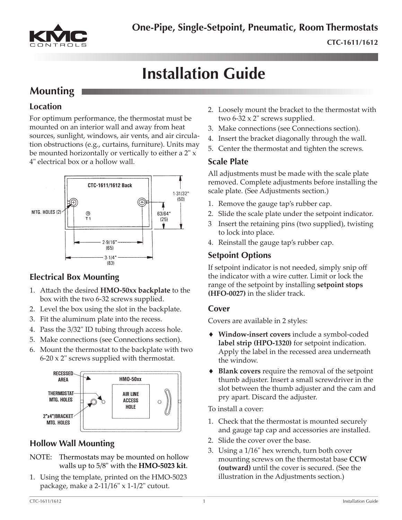

# **Installation Guide**

### **Mounting**

### **Location**

For optimum performance, the thermostat must be mounted on an interior wall and away from heat sources, sunlight, windows, air vents, and air circulation obstructions (e.g., curtains, furniture). Units may be mounted horizontally or vertically to either a 2" x 4" electrical box or a hollow wall.



### **Electrical Box Mounting**

- 1. Attach the desired **HMO-50xx backplate** to the box with the two 6-32 screws supplied.
- 2. Level the box using the slot in the backplate.
- 3. Fit the aluminum plate into the recess.
- 4. Pass the 3/32" ID tubing through access hole.
- 5. Make connections (see Connections section).
- 6. Mount the thermostat to the backplate with two  $6-20 \times 2$ " screws supplied with thermostat.



### **Hollow Wall Mounting**

- NOTE: Thermostats may be mounted on hollow walls up to 5/8" with the **HMO-5023 kit**.
- 1. Using the template, printed on the HMO-5023 package, make a 2-11/16" x 1-1/2" cutout.
- 2. Loosely mount the bracket to the thermostat with two 6-32 x 2" screws supplied.
- 3. Make connections (see Connections section).
- 4. Insert the bracket diagonally through the wall.
- 5. Center the thermostat and tighten the screws.

### **Scale Plate**

All adjustments must be made with the scale plate removed. Complete adjustments before installing the scale plate. (See Adjustments section.)

- 1. Remove the gauge tap's rubber cap.
- 2. Slide the scale plate under the setpoint indicator.
- 3 Insert the retaining pins (two supplied), twisting to lock into place.
- 4. Reinstall the gauge tap's rubber cap.

### **Setpoint Options**

If setpoint indicator is not needed, simply snip off the indicator with a wire cutter. Limit or lock the range of the setpoint by installing **setpoint stops (HFO-0027)** in the slider track.

#### **Cover**

Covers are available in 2 styles:

- ♦ **Window-insert covers** include a symbol-coded **label strip (HPO-1320)** for setpoint indication. Apply the label in the recessed area underneath the window.
- ◆ **Blank covers** require the removal of the setpoint thumb adjuster. Insert a small screwdriver in the slot between the thumb adjuster and the cam and pry apart. Discard the adjuster.

To install a cover:

- 1. Check that the thermostat is mounted securely and gauge tap cap and accessories are installed.
- 2. Slide the cover over the base.
- 3. Using a 1/16" hex wrench, turn both cover mounting screws on the thermostat base **CCW (outward)** until the cover is secured. (See the illustration in the Adjustments section.)